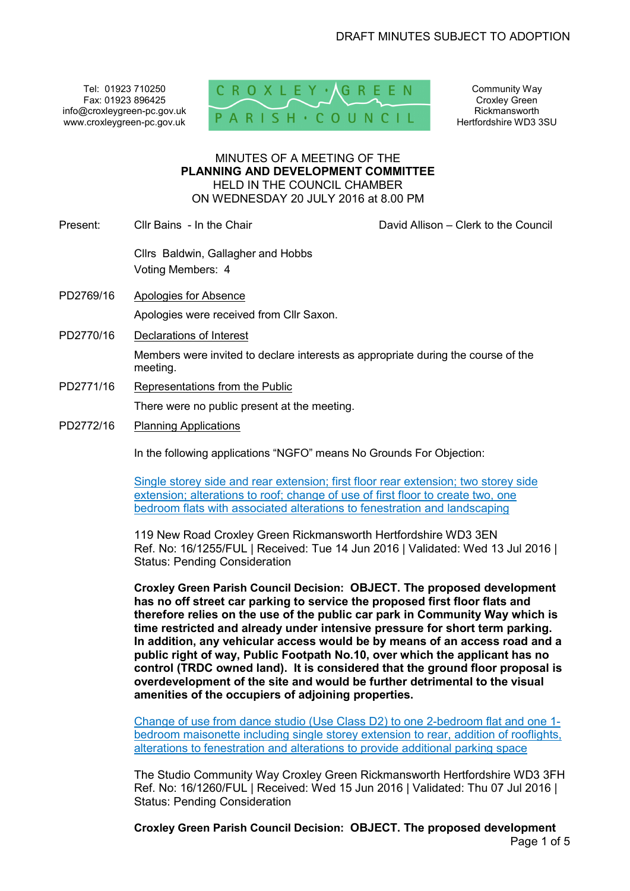Tel: 01923 710250 Fax: 01923 896425 info@croxleygreen-pc.gov.uk www.croxleygreen-pc.gov.uk



Community Way Croxley Green Rickmansworth Hertfordshire WD3 3SU

## MINUTES OF A MEETING OF THE **PLANNING AND DEVELOPMENT COMMITTEE** HELD IN THE COUNCIL CHAMBER ON WEDNESDAY 20 JULY 2016 at 8.00 PM

Present: Cllr Bains - In the Chair Chair Chair David Allison – Clerk to the Council

Cllrs Baldwin, Gallagher and Hobbs Voting Members: 4

- PD2769/16 Apologies for Absence Apologies were received from Cllr Saxon.
- PD2770/16 Declarations of Interest

Members were invited to declare interests as appropriate during the course of the meeting.

PD2771/16 Representations from the Public

There were no public present at the meeting.

PD2772/16 Planning Applications

In the following applications "NGFO" means No Grounds For Objection:

Single storey side and rear extension; first floor rear extension; two storey side extension; alterations to roof; change of use of first floor to create two, one bedroom flats with associated alterations to fenestration and landscaping

119 New Road Croxley Green Rickmansworth Hertfordshire WD3 3EN Ref. No: 16/1255/FUL | Received: Tue 14 Jun 2016 | Validated: Wed 13 Jul 2016 | Status: Pending Consideration

**Croxley Green Parish Council Decision: OBJECT. The proposed development has no off street car parking to service the proposed first floor flats and therefore relies on the use of the public car park in Community Way which is time restricted and already under intensive pressure for short term parking. In addition, any vehicular access would be by means of an access road and a public right of way, Public Footpath No.10, over which the applicant has no control (TRDC owned land). It is considered that the ground floor proposal is overdevelopment of the site and would be further detrimental to the visual amenities of the occupiers of adjoining properties.**

Change of use from dance studio (Use Class D2) to one 2-bedroom flat and one 1 bedroom maisonette including single storey extension to rear, addition of rooflights, alterations to fenestration and alterations to provide additional parking space

The Studio Community Way Croxley Green Rickmansworth Hertfordshire WD3 3FH Ref. No: 16/1260/FUL | Received: Wed 15 Jun 2016 | Validated: Thu 07 Jul 2016 | Status: Pending Consideration

Page 1 of 5 **Croxley Green Parish Council Decision: OBJECT. The proposed development**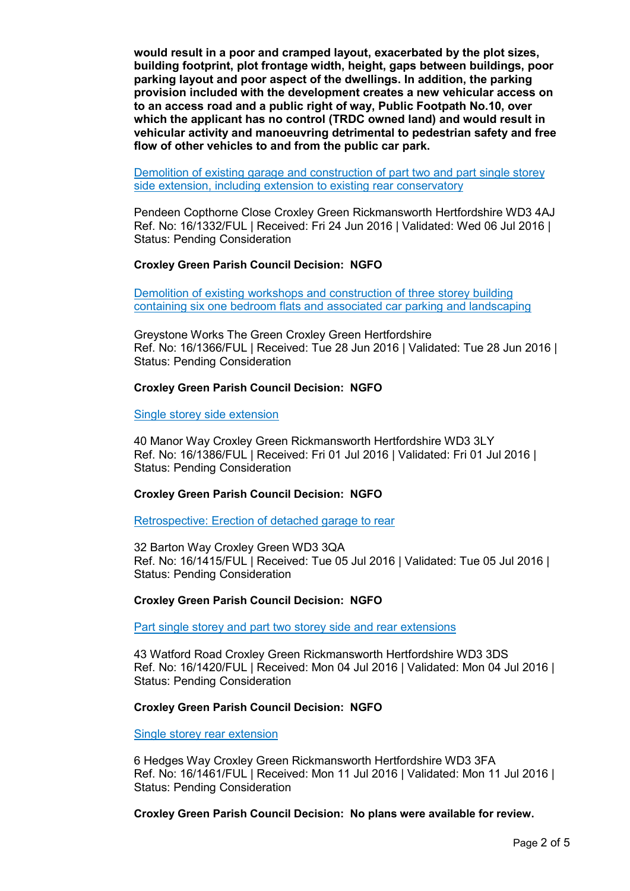**would result in a poor and cramped layout, exacerbated by the plot sizes, building footprint, plot frontage width, height, gaps between buildings, poor parking layout and poor aspect of the dwellings. In addition, the parking provision included with the development creates a new vehicular access on to an access road and a public right of way, Public Footpath No.10, over which the applicant has no control (TRDC owned land) and would result in vehicular activity and manoeuvring detrimental to pedestrian safety and free flow of other vehicles to and from the public car park.** 

Demolition of existing garage and construction of part two and part single storey side extension, including extension to existing rear conservatory

Pendeen Copthorne Close Croxley Green Rickmansworth Hertfordshire WD3 4AJ Ref. No: 16/1332/FUL | Received: Fri 24 Jun 2016 | Validated: Wed 06 Jul 2016 | Status: Pending Consideration

# **Croxley Green Parish Council Decision: NGFO**

Demolition of existing workshops and construction of three storey building containing six one bedroom flats and associated car parking and landscaping

Greystone Works The Green Croxley Green Hertfordshire Ref. No: 16/1366/FUL | Received: Tue 28 Jun 2016 | Validated: Tue 28 Jun 2016 | Status: Pending Consideration

### **Croxley Green Parish Council Decision: NGFO**

Single storey side extension

40 Manor Way Croxley Green Rickmansworth Hertfordshire WD3 3LY Ref. No: 16/1386/FUL | Received: Fri 01 Jul 2016 | Validated: Fri 01 Jul 2016 | Status: Pending Consideration

## **Croxley Green Parish Council Decision: NGFO**

Retrospective: Erection of detached garage to rear

32 Barton Way Croxley Green WD3 3QA Ref. No: 16/1415/FUL | Received: Tue 05 Jul 2016 | Validated: Tue 05 Jul 2016 | Status: Pending Consideration

#### **Croxley Green Parish Council Decision: NGFO**

Part single storey and part two storey side and rear extensions

43 Watford Road Croxley Green Rickmansworth Hertfordshire WD3 3DS Ref. No: 16/1420/FUL | Received: Mon 04 Jul 2016 | Validated: Mon 04 Jul 2016 | Status: Pending Consideration

#### **Croxley Green Parish Council Decision: NGFO**

Single storey rear extension

6 Hedges Way Croxley Green Rickmansworth Hertfordshire WD3 3FA Ref. No: 16/1461/FUL | Received: Mon 11 Jul 2016 | Validated: Mon 11 Jul 2016 | Status: Pending Consideration

**Croxley Green Parish Council Decision: No plans were available for review.**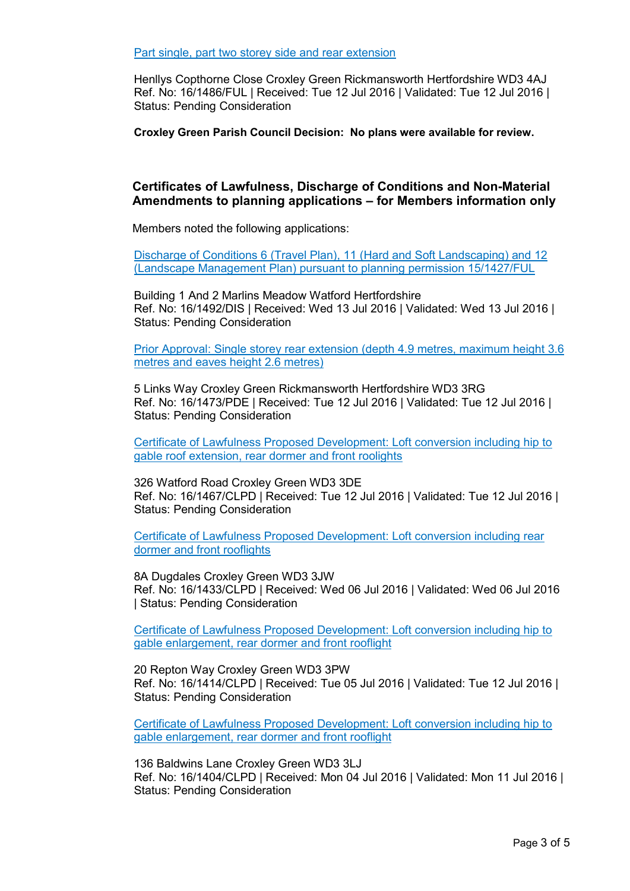Part single, part two storey side and rear extension

Henllys Copthorne Close Croxley Green Rickmansworth Hertfordshire WD3 4AJ Ref. No: 16/1486/FUL | Received: Tue 12 Jul 2016 | Validated: Tue 12 Jul 2016 | Status: Pending Consideration

**Croxley Green Parish Council Decision: No plans were available for review.** 

# **Certificates of Lawfulness, Discharge of Conditions and Non-Material Amendments to planning applications – for Members information only**

Members noted the following applications:

Discharge of Conditions 6 (Travel Plan), 11 (Hard and Soft Landscaping) and 12 (Landscape Management Plan) pursuant to planning permission 15/1427/FUL

Building 1 And 2 Marlins Meadow Watford Hertfordshire Ref. No: 16/1492/DIS | Received: Wed 13 Jul 2016 | Validated: Wed 13 Jul 2016 | Status: Pending Consideration

Prior Approval: Single storey rear extension (depth 4.9 metres, maximum height 3.6 metres and eaves height 2.6 metres)

5 Links Way Croxley Green Rickmansworth Hertfordshire WD3 3RG Ref. No: 16/1473/PDE | Received: Tue 12 Jul 2016 | Validated: Tue 12 Jul 2016 | Status: Pending Consideration

Certificate of Lawfulness Proposed Development: Loft conversion including hip to gable roof extension, rear dormer and front roolights

326 Watford Road Croxley Green WD3 3DE Ref. No: 16/1467/CLPD | Received: Tue 12 Jul 2016 | Validated: Tue 12 Jul 2016 | Status: Pending Consideration

Certificate of Lawfulness Proposed Development: Loft conversion including rear dormer and front rooflights

8A Dugdales Croxley Green WD3 3JW Ref. No: 16/1433/CLPD | Received: Wed 06 Jul 2016 | Validated: Wed 06 Jul 2016 | Status: Pending Consideration

Certificate of Lawfulness Proposed Development: Loft conversion including hip to gable enlargement, rear dormer and front rooflight

20 Repton Way Croxley Green WD3 3PW Ref. No: 16/1414/CLPD | Received: Tue 05 Jul 2016 | Validated: Tue 12 Jul 2016 | Status: Pending Consideration

Certificate of Lawfulness Proposed Development: Loft conversion including hip to gable enlargement, rear dormer and front rooflight

136 Baldwins Lane Croxley Green WD3 3LJ Ref. No: 16/1404/CLPD | Received: Mon 04 Jul 2016 | Validated: Mon 11 Jul 2016 | Status: Pending Consideration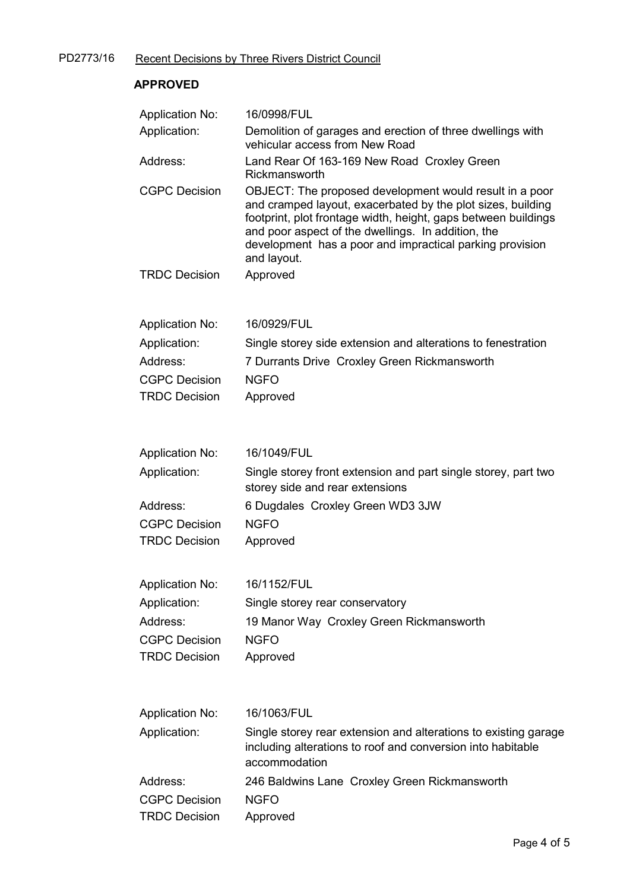# **APPROVED**

| <b>Application No:</b> | 16/0998/FUL                                                                                                                                                                                                                                                                                                               |
|------------------------|---------------------------------------------------------------------------------------------------------------------------------------------------------------------------------------------------------------------------------------------------------------------------------------------------------------------------|
| Application:           | Demolition of garages and erection of three dwellings with<br>vehicular access from New Road                                                                                                                                                                                                                              |
| Address:               | Land Rear Of 163-169 New Road Croxley Green<br>Rickmansworth                                                                                                                                                                                                                                                              |
| <b>CGPC Decision</b>   | OBJECT: The proposed development would result in a poor<br>and cramped layout, exacerbated by the plot sizes, building<br>footprint, plot frontage width, height, gaps between buildings<br>and poor aspect of the dwellings. In addition, the<br>development has a poor and impractical parking provision<br>and layout. |
| <b>TRDC Decision</b>   | Approved                                                                                                                                                                                                                                                                                                                  |
| <b>Application No:</b> | 16/0929/FUL                                                                                                                                                                                                                                                                                                               |
| Application:           | Single storey side extension and alterations to fenestration                                                                                                                                                                                                                                                              |
| Address:               | 7 Durrants Drive Croxley Green Rickmansworth                                                                                                                                                                                                                                                                              |
| <b>CGPC Decision</b>   | <b>NGFO</b>                                                                                                                                                                                                                                                                                                               |
| <b>TRDC Decision</b>   | Approved                                                                                                                                                                                                                                                                                                                  |
| <b>Application No:</b> | 16/1049/FUL                                                                                                                                                                                                                                                                                                               |
| Application:           | Single storey front extension and part single storey, part two<br>storey side and rear extensions                                                                                                                                                                                                                         |
| Address:               | 6 Dugdales Croxley Green WD3 3JW                                                                                                                                                                                                                                                                                          |
| <b>CGPC Decision</b>   | <b>NGFO</b>                                                                                                                                                                                                                                                                                                               |
| <b>TRDC Decision</b>   | Approved                                                                                                                                                                                                                                                                                                                  |
| <b>Application No:</b> | 16/1152/FUL                                                                                                                                                                                                                                                                                                               |
| Application:           | Single storey rear conservatory                                                                                                                                                                                                                                                                                           |
| Address:               | 19 Manor Way Croxley Green Rickmansworth                                                                                                                                                                                                                                                                                  |
| <b>CGPC Decision</b>   | <b>NGFO</b>                                                                                                                                                                                                                                                                                                               |
| <b>TRDC Decision</b>   | Approved                                                                                                                                                                                                                                                                                                                  |
| <b>Application No:</b> | 16/1063/FUL                                                                                                                                                                                                                                                                                                               |
| Application:           | Single storey rear extension and alterations to existing garage<br>including alterations to roof and conversion into habitable<br>accommodation                                                                                                                                                                           |
| Address:               | 246 Baldwins Lane Croxley Green Rickmansworth                                                                                                                                                                                                                                                                             |
| <b>CGPC Decision</b>   | <b>NGFO</b>                                                                                                                                                                                                                                                                                                               |
| <b>TRDC Decision</b>   | Approved                                                                                                                                                                                                                                                                                                                  |